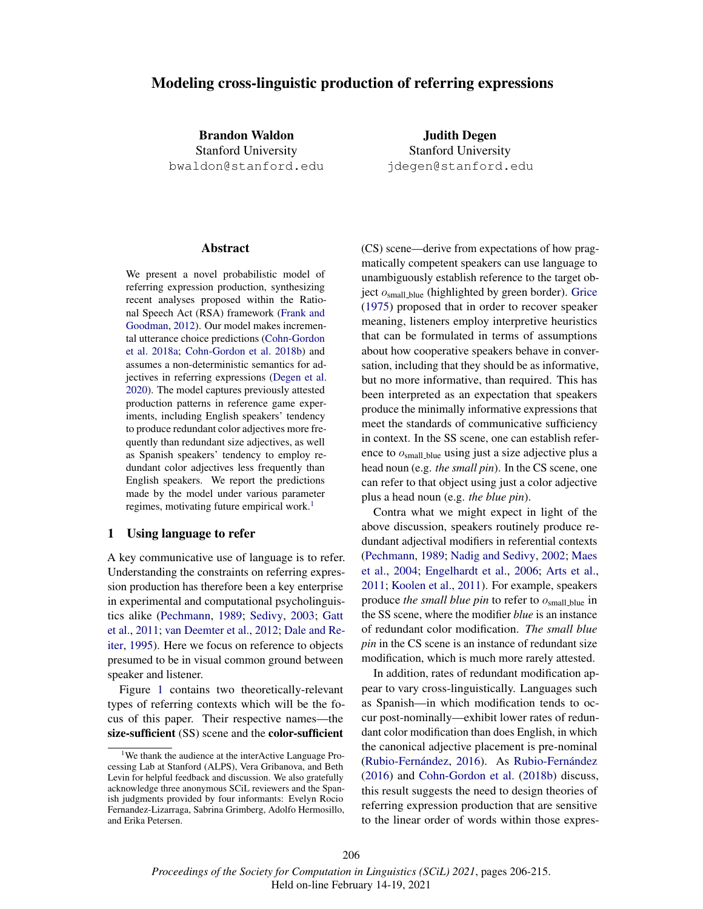# Modeling cross-linguistic production of referring expressions

Brandon Waldon Stanford University bwaldon@stanford.edu

Judith Degen Stanford University jdegen@stanford.edu

## Abstract

We present a novel probabilistic model of referring expression production, synthesizing recent analyses proposed within the Rational Speech Act (RSA) framework (Frank and Goodman, 2012). Our model makes incremental utterance choice predictions (Cohn-Gordon et al. 2018a; Cohn-Gordon et al. 2018b) and assumes a non-deterministic semantics for adjectives in referring expressions (Degen et al. 2020). The model captures previously attested production patterns in reference game experiments, including English speakers' tendency to produce redundant color adjectives more frequently than redundant size adjectives, as well as Spanish speakers' tendency to employ redundant color adjectives less frequently than English speakers. We report the predictions made by the model under various parameter regimes, motivating future empirical work.<sup>1</sup>

## 1 Using language to refer

A key communicative use of language is to refer. Understanding the constraints on referring expression production has therefore been a key enterprise in experimental and computational psycholinguistics alike (Pechmann, 1989; Sedivy, 2003; Gatt et al., 2011; van Deemter et al., 2012; Dale and Reiter, 1995). Here we focus on reference to objects presumed to be in visual common ground between speaker and listener.

Figure 1 contains two theoretically-relevant types of referring contexts which will be the focus of this paper. Their respective names—the size-sufficient (SS) scene and the color-sufficient

(CS) scene—derive from expectations of how pragmatically competent speakers can use language to unambiguously establish reference to the target object  $o<sub>small blue</sub>$  (highlighted by green border). Grice (1975) proposed that in order to recover speaker meaning, listeners employ interpretive heuristics that can be formulated in terms of assumptions about how cooperative speakers behave in conversation, including that they should be as informative, but no more informative, than required. This has been interpreted as an expectation that speakers produce the minimally informative expressions that meet the standards of communicative sufficiency in context. In the SS scene, one can establish reference to osmall blue using just a size adjective plus a head noun (e.g. *the small pin*). In the CS scene, one can refer to that object using just a color adjective plus a head noun (e.g. *the blue pin*).

Contra what we might expect in light of the above discussion, speakers routinely produce redundant adjectival modifiers in referential contexts (Pechmann, 1989; Nadig and Sedivy, 2002; Maes et al., 2004; Engelhardt et al., 2006; Arts et al., 2011; Koolen et al., 2011). For example, speakers produce *the small blue pin* to refer to  $o<sub>small blue</sub>$  in the SS scene, where the modifier *blue* is an instance of redundant color modification. *The small blue pin* in the CS scene is an instance of redundant size modification, which is much more rarely attested.

In addition, rates of redundant modification appear to vary cross-linguistically. Languages such as Spanish—in which modification tends to occur post-nominally—exhibit lower rates of redundant color modification than does English, in which the canonical adjective placement is pre-nominal (Rubio-Fernández, 2016). As Rubio-Fernández (2016) and Cohn-Gordon et al. (2018b) discuss, this result suggests the need to design theories of referring expression production that are sensitive to the linear order of words within those expres-

<sup>&</sup>lt;sup>1</sup>We thank the audience at the interActive Language Processing Lab at Stanford (ALPS), Vera Gribanova, and Beth Levin for helpful feedback and discussion. We also gratefully acknowledge three anonymous SCiL reviewers and the Spanish judgments provided by four informants: Evelyn Rocio Fernandez-Lizarraga, Sabrina Grimberg, Adolfo Hermosillo, and Erika Petersen.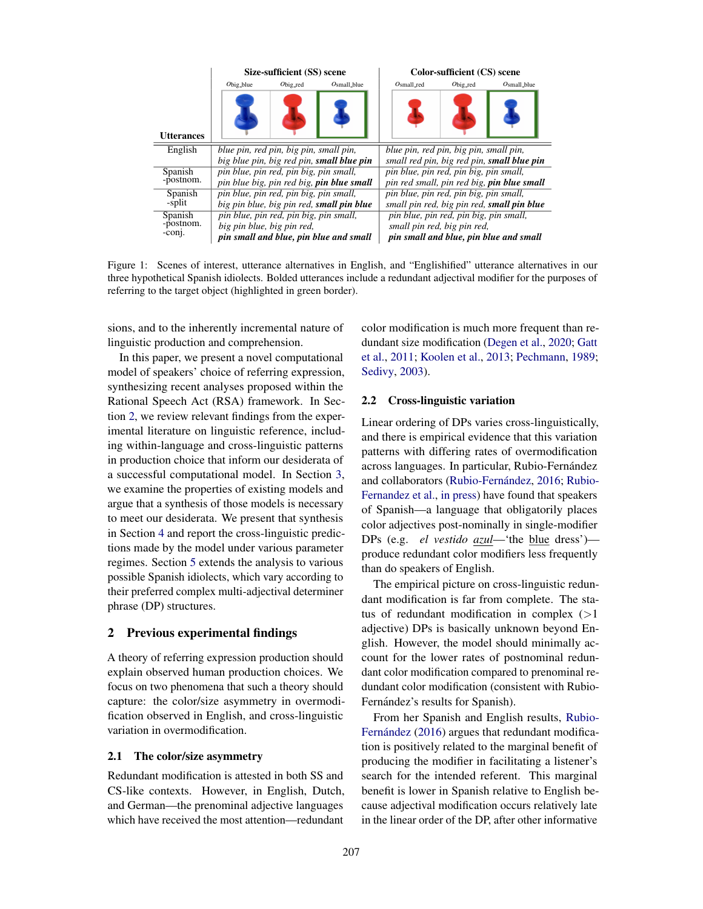|                      | Size-sufficient (SS) scene                       |                       |                | Color-sufficient (CS) scene                       |                       |                |
|----------------------|--------------------------------------------------|-----------------------|----------------|---------------------------------------------------|-----------------------|----------------|
|                      | $O_{\text{big\_blue}}$                           | $O_{\text{big\_red}}$ | $Osmall$ -blue | $Osmall\_red$                                     | $O_{\text{big\_red}}$ | $Osmall,b$ lue |
| <b>Utterances</b>    |                                                  |                       |                |                                                   |                       |                |
| English              | blue pin, red pin, big pin, small pin,           |                       |                | blue pin, red pin, big pin, small pin,            |                       |                |
|                      | big blue pin, big red pin, small blue pin        |                       |                | small red pin, big red pin, small blue pin        |                       |                |
| Spanish<br>-postnom. | pin blue, pin red, pin big, pin small,           |                       |                | pin blue, pin red, pin big, pin small,            |                       |                |
|                      | pin blue big, pin red big, <b>pin blue small</b> |                       |                | pin red small, pin red big, <b>pin blue small</b> |                       |                |
| Spanish<br>-split    | pin blue, pin red, pin big, pin small,           |                       |                | pin blue, pin red, pin big, pin small,            |                       |                |
|                      | big pin blue, big pin red, small pin blue        |                       |                | small pin red, big pin red, small pin blue        |                       |                |
| Spanish<br>-postnom. | pin blue, pin red, pin big, pin small,           |                       |                | pin blue, pin red, pin big, pin small,            |                       |                |
|                      | big pin blue, big pin red,                       |                       |                | small pin red, big pin red,                       |                       |                |
| $-conj.$             | pin small and blue, pin blue and small           |                       |                | pin small and blue, pin blue and small            |                       |                |

Figure 1: Scenes of interest, utterance alternatives in English, and "Englishified" utterance alternatives in our three hypothetical Spanish idiolects. Bolded utterances include a redundant adjectival modifier for the purposes of referring to the target object (highlighted in green border).

sions, and to the inherently incremental nature of linguistic production and comprehension.

In this paper, we present a novel computational model of speakers' choice of referring expression, synthesizing recent analyses proposed within the Rational Speech Act (RSA) framework. In Section 2, we review relevant findings from the experimental literature on linguistic reference, including within-language and cross-linguistic patterns in production choice that inform our desiderata of a successful computational model. In Section 3, we examine the properties of existing models and argue that a synthesis of those models is necessary to meet our desiderata. We present that synthesis in Section 4 and report the cross-linguistic predictions made by the model under various parameter regimes. Section 5 extends the analysis to various possible Spanish idiolects, which vary according to their preferred complex multi-adjectival determiner phrase (DP) structures.

## 2 Previous experimental findings

A theory of referring expression production should explain observed human production choices. We focus on two phenomena that such a theory should capture: the color/size asymmetry in overmodification observed in English, and cross-linguistic variation in overmodification.

#### 2.1 The color/size asymmetry

Redundant modification is attested in both SS and CS-like contexts. However, in English, Dutch, and German—the prenominal adjective languages which have received the most attention—redundant

color modification is much more frequent than redundant size modification (Degen et al., 2020; Gatt et al., 2011; Koolen et al., 2013; Pechmann, 1989; Sedivy, 2003).

### 2.2 Cross-linguistic variation

Linear ordering of DPs varies cross-linguistically, and there is empirical evidence that this variation patterns with differing rates of overmodification across languages. In particular, Rubio-Fernández and collaborators (Rubio-Fernández, 2016; Rubio-Fernandez et al., in press) have found that speakers of Spanish—a language that obligatorily places color adjectives post-nominally in single-modifier DPs (e.g. *el vestido azul*—'the blue dress') produce redundant color modifiers less frequently than do speakers of English.

The empirical picture on cross-linguistic redundant modification is far from complete. The status of redundant modification in complex  $(>1)$ adjective) DPs is basically unknown beyond English. However, the model should minimally account for the lower rates of postnominal redundant color modification compared to prenominal redundant color modification (consistent with Rubio-Fernández's results for Spanish).

From her Spanish and English results, Rubio-Fernández (2016) argues that redundant modification is positively related to the marginal benefit of producing the modifier in facilitating a listener's search for the intended referent. This marginal benefit is lower in Spanish relative to English because adjectival modification occurs relatively late in the linear order of the DP, after other informative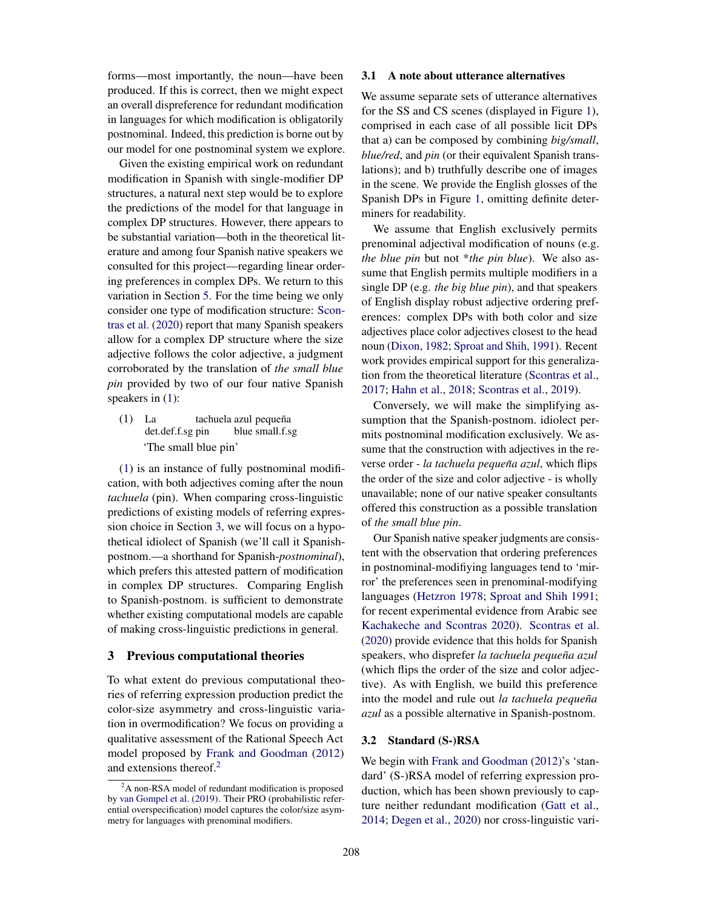forms—most importantly, the noun—have been produced. If this is correct, then we might expect an overall dispreference for redundant modification in languages for which modification is obligatorily postnominal. Indeed, this prediction is borne out by our model for one postnominal system we explore.

Given the existing empirical work on redundant modification in Spanish with single-modifier DP structures, a natural next step would be to explore the predictions of the model for that language in complex DP structures. However, there appears to be substantial variation—both in the theoretical literature and among four Spanish native speakers we consulted for this project—regarding linear ordering preferences in complex DPs. We return to this variation in Section 5. For the time being we only consider one type of modification structure: Scontras et al. (2020) report that many Spanish speakers allow for a complex DP structure where the size adjective follows the color adjective, a judgment corroborated by the translation of *the small blue pin* provided by two of our four native Spanish speakers in (1):

(1) La det.def.f.sg pin tachuela azul pequeña blue small.f.sg 'The small blue pin'

(1) is an instance of fully postnominal modification, with both adjectives coming after the noun *tachuela* (pin). When comparing cross-linguistic predictions of existing models of referring expression choice in Section 3, we will focus on a hypothetical idiolect of Spanish (we'll call it Spanishpostnom.—a shorthand for Spanish-*postnominal*), which prefers this attested pattern of modification in complex DP structures. Comparing English to Spanish-postnom. is sufficient to demonstrate whether existing computational models are capable of making cross-linguistic predictions in general.

## 3 Previous computational theories

To what extent do previous computational theories of referring expression production predict the color-size asymmetry and cross-linguistic variation in overmodification? We focus on providing a qualitative assessment of the Rational Speech Act model proposed by Frank and Goodman (2012) and extensions thereof.<sup>2</sup>

#### 3.1 A note about utterance alternatives

We assume separate sets of utterance alternatives for the SS and CS scenes (displayed in Figure 1), comprised in each case of all possible licit DPs that a) can be composed by combining *big/small*, *blue/red*, and *pin* (or their equivalent Spanish translations); and b) truthfully describe one of images in the scene. We provide the English glosses of the Spanish DPs in Figure 1, omitting definite determiners for readability.

We assume that English exclusively permits prenominal adjectival modification of nouns (e.g. *the blue pin* but not \**the pin blue*). We also assume that English permits multiple modifiers in a single DP (e.g. *the big blue pin*), and that speakers of English display robust adjective ordering preferences: complex DPs with both color and size adjectives place color adjectives closest to the head noun (Dixon, 1982; Sproat and Shih, 1991). Recent work provides empirical support for this generalization from the theoretical literature (Scontras et al., 2017; Hahn et al., 2018; Scontras et al., 2019).

Conversely, we will make the simplifying assumption that the Spanish-postnom. idiolect permits postnominal modification exclusively. We assume that the construction with adjectives in the reverse order - *la tachuela pequeña azul*, which flips the order of the size and color adjective - is wholly unavailable; none of our native speaker consultants offered this construction as a possible translation of *the small blue pin*.

Our Spanish native speaker judgments are consistent with the observation that ordering preferences in postnominal-modifiying languages tend to 'mirror' the preferences seen in prenominal-modifying languages (Hetzron 1978; Sproat and Shih 1991; for recent experimental evidence from Arabic see Kachakeche and Scontras 2020). Scontras et al. (2020) provide evidence that this holds for Spanish speakers, who disprefer la tachuela pequeña azul (which flips the order of the size and color adjective). As with English, we build this preference into the model and rule out *la tachuela pequeña azul* as a possible alternative in Spanish-postnom.

#### 3.2 Standard (S-)RSA

We begin with Frank and Goodman (2012)'s 'standard' (S-)RSA model of referring expression production, which has been shown previously to capture neither redundant modification (Gatt et al., 2014; Degen et al., 2020) nor cross-linguistic vari-

<sup>&</sup>lt;sup>2</sup>A non-RSA model of redundant modification is proposed by van Gompel et al. (2019). Their PRO (probabilistic referential overspecification) model captures the color/size asymmetry for languages with prenominal modifiers.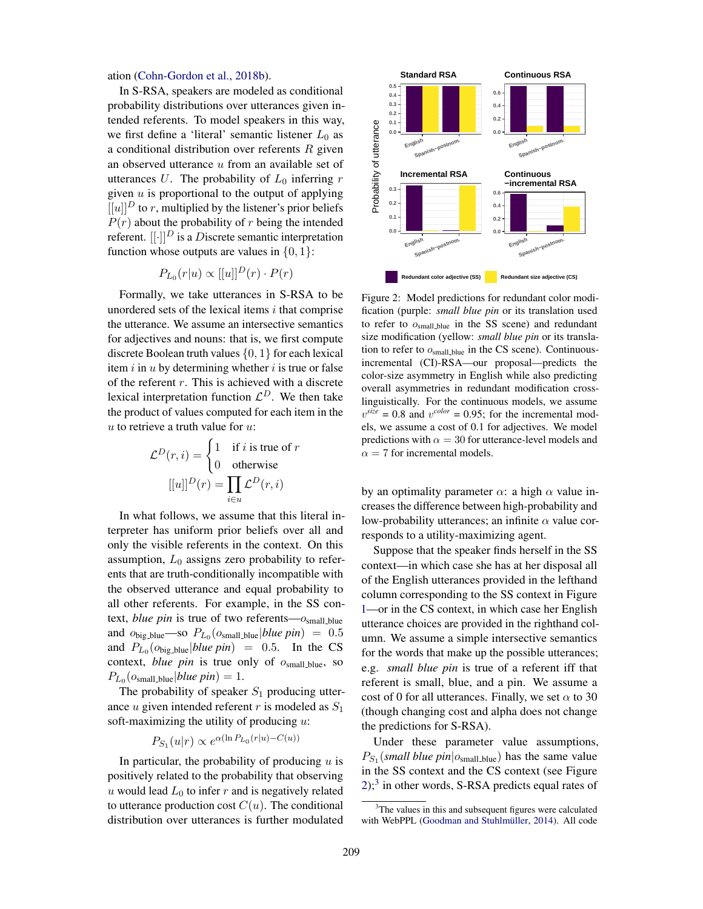ation (Cohn-Gordon et al., 2018b).

In S-RSA, speakers are modeled as conditional probability distributions over utterances given intended referents. To model speakers in this way, we first define a 'literal' semantic listener  $L_0$  as a conditional distribution over referents  $R$  given an observed utterance  $u$  from an available set of utterances U. The probability of  $L_0$  inferring r given  $u$  is proportional to the output of applying  $[[u]]^D$  to r, multiplied by the listener's prior beliefs  $P(r)$  about the probability of r being the intended referent.  $[[\cdot]]^D$  is a Discrete semantic interpretation function whose outputs are values in  $\{0, 1\}$ :

$$
P_{L_0}(r|u) \propto [[u]]^D(r) \cdot P(r)
$$

Formally, we take utterances in S-RSA to be unordered sets of the lexical items  $i$  that comprise the utterance. We assume an intersective semantics for adjectives and nouns: that is, we first compute discrete Boolean truth values  $\{0, 1\}$  for each lexical item  $i$  in  $u$  by determining whether  $i$  is true or false of the referent  $r$ . This is achieved with a discrete lexical interpretation function  $\mathcal{L}^D$ . We then take the product of values computed for each item in the  $u$  to retrieve a truth value for  $u$ :

$$
\mathcal{L}^{D}(r,i) = \begin{cases} 1 & \text{if } i \text{ is true of } r \\ 0 & \text{otherwise} \end{cases}
$$

$$
[[u]]^{D}(r) = \prod_{i \in u} \mathcal{L}^{D}(r,i)
$$

In what follows, we assume that this literal interpreter has uniform prior beliefs over all and only the visible referents in the context. On this assumption,  $L_0$  assigns zero probability to referents that are truth-conditionally incompatible with the observed utterance and equal probability to all other referents. For example, in the SS context, *blue pin* is true of two referents— $o<sub>small\_blue</sub>$ and  $o_{\text{big\_blue}}$ —so  $P_{L_0}(o_{\text{small\_blue}}|blue\,pin) = 0.5$ and  $P_{L_0}(o_{\text{big\_blue}}|blue\,pin) = 0.5$ . In the CS context, *blue pin* is true only of  $o<sub>small\_blue</sub>$ , so  $P_{L_0}(o_{\text{small\_blue}}|blue\,pin) = 1.$ 

The probability of speaker  $S_1$  producing utterance  $u$  given intended referent  $r$  is modeled as  $S_1$ soft-maximizing the utility of producing  $u$ :

$$
P_{S_1}(u|r) \propto e^{\alpha(\ln P_{L_0}(r|u) - C(u))}
$$

In particular, the probability of producing  $u$  is positively related to the probability that observing u would lead  $L_0$  to infer r and is negatively related to utterance production cost  $C(u)$ . The conditional distribution over utterances is further modulated



Figure 2: Model predictions for redundant color modification (purple: *small blue pin* or its translation used to refer to  $o<sub>small blue</sub>$  in the SS scene) and redundant size modification (yellow: *small blue pin* or its translation to refer to  $o<sub>small\_blue</sub>$  in the CS scene). Continuousincremental (CI)-RSA—our proposal—predicts the color-size asymmetry in English while also predicting overall asymmetries in redundant modification crosslinguistically. For the continuous models, we assume  $v^{size} = 0.8$  and  $v^{color} = 0.95$ ; for the incremental models, we assume a cost of 0.1 for adjectives. We model predictions with  $\alpha = 30$  for utterance-level models and  $\alpha = 7$  for incremental models.

by an optimality parameter  $\alpha$ : a high  $\alpha$  value increases the difference between high-probability and low-probability utterances; an infinite  $\alpha$  value corresponds to a utility-maximizing agent.

Suppose that the speaker finds herself in the SS context—in which case she has at her disposal all of the English utterances provided in the lefthand column corresponding to the SS context in Figure 1—or in the CS context, in which case her English utterance choices are provided in the righthand column. We assume a simple intersective semantics for the words that make up the possible utterances; e.g. *small blue pin* is true of a referent iff that referent is small, blue, and a pin. We assume a cost of 0 for all utterances. Finally, we set  $\alpha$  to 30 (though changing cost and alpha does not change the predictions for S-RSA).

Under these parameter value assumptions,  $P_{S_1}(small blue\,pin|o_{small\_blue})$  has the same value in the SS context and the CS context (see Figure  $2$ ;<sup>3</sup> in other words, S-RSA predicts equal rates of

<sup>&</sup>lt;sup>3</sup>The values in this and subsequent figures were calculated with WebPPL (Goodman and Stuhlmüller, 2014). All code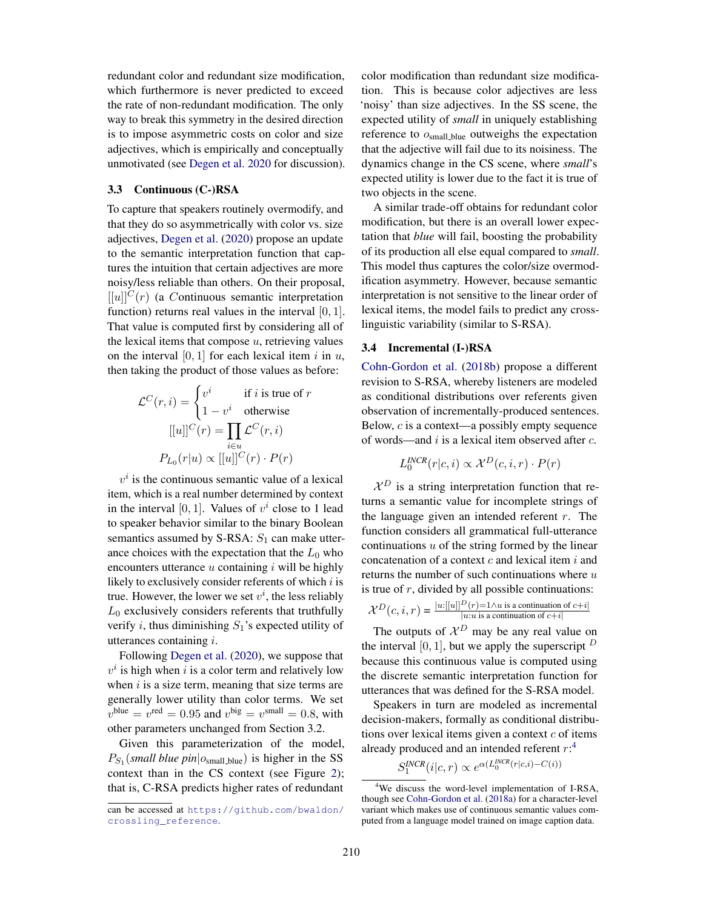redundant color and redundant size modification, which furthermore is never predicted to exceed the rate of non-redundant modification. The only way to break this symmetry in the desired direction is to impose asymmetric costs on color and size adjectives, which is empirically and conceptually unmotivated (see Degen et al. 2020 for discussion).

#### 3.3 Continuous (C-)RSA

To capture that speakers routinely overmodify, and that they do so asymmetrically with color vs. size adjectives, Degen et al. (2020) propose an update to the semantic interpretation function that captures the intuition that certain adjectives are more noisy/less reliable than others. On their proposal,  $[ [u]]^C(r)$  (a Continuous semantic interpretation function) returns real values in the interval [0, 1]. That value is computed first by considering all of the lexical items that compose  $u$ , retrieving values on the interval  $[0, 1]$  for each lexical item i in u, then taking the product of those values as before:

$$
\mathcal{L}^C(r, i) = \begin{cases} v^i & \text{if } i \text{ is true of } r \\ 1 - v^i & \text{otherwise} \end{cases}
$$

$$
[[u]]^C(r) = \prod_{i \in u} \mathcal{L}^C(r, i)
$$

$$
P_{L_0}(r|u) \propto [[u]]^C(r) \cdot P(r)
$$

 $v<sup>i</sup>$  is the continuous semantic value of a lexical item, which is a real number determined by context in the interval [0, 1]. Values of  $v^i$  close to 1 lead to speaker behavior similar to the binary Boolean semantics assumed by S-RSA:  $S_1$  can make utterance choices with the expectation that the  $L_0$  who encounters utterance  $u$  containing  $i$  will be highly likely to exclusively consider referents of which  $i$  is true. However, the lower we set  $v^i$ , the less reliably  $L_0$  exclusively considers referents that truthfully verify i, thus diminishing  $S_1$ 's expected utility of utterances containing i.

Following Degen et al. (2020), we suppose that  $v^i$  is high when i is a color term and relatively low when  $i$  is a size term, meaning that size terms are generally lower utility than color terms. We set  $v^{\text{blue}} = v^{\text{red}} = 0.95$  and  $v^{\text{big}} = v^{\text{small}} = 0.8$ , with other parameters unchanged from Section 3.2.

Given this parameterization of the model,  $P_{S_1}(small blue\,pin|o_{small\_blue})$  is higher in the SS context than in the CS context (see Figure 2); that is, C-RSA predicts higher rates of redundant

color modification than redundant size modification. This is because color adjectives are less 'noisy' than size adjectives. In the SS scene, the expected utility of *small* in uniquely establishing reference to  $o<sub>small\_blue</sub>$  outweighs the expectation that the adjective will fail due to its noisiness. The dynamics change in the CS scene, where *small*'s expected utility is lower due to the fact it is true of two objects in the scene.

A similar trade-off obtains for redundant color modification, but there is an overall lower expectation that *blue* will fail, boosting the probability of its production all else equal compared to *small*. This model thus captures the color/size overmodification asymmetry. However, because semantic interpretation is not sensitive to the linear order of lexical items, the model fails to predict any crosslinguistic variability (similar to S-RSA).

## 3.4 Incremental (I-)RSA

Cohn-Gordon et al. (2018b) propose a different revision to S-RSA, whereby listeners are modeled as conditional distributions over referents given observation of incrementally-produced sentences. Below, c is a context—a possibly empty sequence of words—and  $i$  is a lexical item observed after  $c$ .

$$
L_0^{INCR}(r|c, i) \propto \mathcal{X}^D(c, i, r) \cdot P(r)
$$

 $\mathcal{X}^D$  is a string interpretation function that returns a semantic value for incomplete strings of the language given an intended referent  $r$ . The function considers all grammatical full-utterance continuations  $u$  of the string formed by the linear concatenation of a context  $c$  and lexical item  $i$  and returns the number of such continuations where  $u$ is true of  $r$ , divided by all possible continuations:

$$
\mathcal{X}^D(c, i, r) = \frac{|u:[[u]]^D(r) = 1 \land u \text{ is a continuation of } c+i|}{|u:u \text{ is a continuation of } c+i|}
$$

The outputs of  $\mathcal{X}^D$  may be any real value on the interval [0, 1], but we apply the superscript  $<sup>D</sup>$ </sup> because this continuous value is computed using the discrete semantic interpretation function for utterances that was defined for the S-RSA model.

Speakers in turn are modeled as incremental decision-makers, formally as conditional distributions over lexical items given a context  $c$  of items already produced and an intended referent  $r:$ <sup>4</sup>

 $S_1^{INCR}(i|c,r) \propto e^{\alpha(L_0^{INCR}(r|c,i)-C(i))}$ 

can be accessed at https://github.com/bwaldon/ crossling\_reference.

<sup>4</sup>We discuss the word-level implementation of I-RSA, though see Cohn-Gordon et al. (2018a) for a character-level variant which makes use of continuous semantic values computed from a language model trained on image caption data.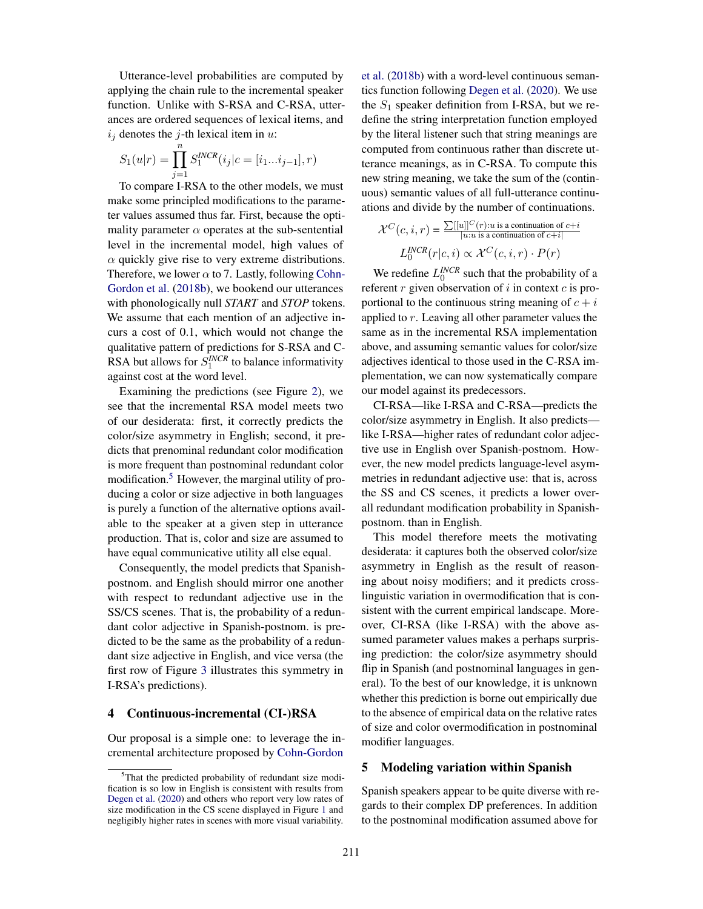Utterance-level probabilities are computed by applying the chain rule to the incremental speaker function. Unlike with S-RSA and C-RSA, utterances are ordered sequences of lexical items, and  $i_j$  denotes the j-th lexical item in u:

$$
S_1(u|r) = \prod_{j=1}^n S_1^{INCR}(i_j|c = [i_1...i_{j-1}], r)
$$

To compare I-RSA to the other models, we must make some principled modifications to the parameter values assumed thus far. First, because the optimality parameter  $\alpha$  operates at the sub-sentential level in the incremental model, high values of  $\alpha$  quickly give rise to very extreme distributions. Therefore, we lower  $\alpha$  to 7. Lastly, following Cohn-Gordon et al. (2018b), we bookend our utterances with phonologically null *START* and *STOP* tokens. We assume that each mention of an adjective incurs a cost of 0.1, which would not change the qualitative pattern of predictions for S-RSA and C-RSA but allows for  $S_1^{INCR}$  to balance informativity against cost at the word level.

Examining the predictions (see Figure 2), we see that the incremental RSA model meets two of our desiderata: first, it correctly predicts the color/size asymmetry in English; second, it predicts that prenominal redundant color modification is more frequent than postnominal redundant color modification.<sup>5</sup> However, the marginal utility of producing a color or size adjective in both languages is purely a function of the alternative options available to the speaker at a given step in utterance production. That is, color and size are assumed to have equal communicative utility all else equal.

Consequently, the model predicts that Spanishpostnom. and English should mirror one another with respect to redundant adjective use in the SS/CS scenes. That is, the probability of a redundant color adjective in Spanish-postnom. is predicted to be the same as the probability of a redundant size adjective in English, and vice versa (the first row of Figure 3 illustrates this symmetry in I-RSA's predictions).

## 4 Continuous-incremental (CI-)RSA

Our proposal is a simple one: to leverage the incremental architecture proposed by Cohn-Gordon et al. (2018b) with a word-level continuous semantics function following Degen et al. (2020). We use the  $S_1$  speaker definition from I-RSA, but we redefine the string interpretation function employed by the literal listener such that string meanings are computed from continuous rather than discrete utterance meanings, as in C-RSA. To compute this new string meaning, we take the sum of the (continuous) semantic values of all full-utterance continuations and divide by the number of continuations.

$$
\mathcal{X}^C(c,i,r) = \frac{\sum [[u]]^C(r): u \text{ is a continuation of } c+i]}{u : u \text{ is a continuation of } c+i]}
$$

$$
L_0^{INCR}(r|c,i) \propto \mathcal{X}^C(c,i,r) \cdot P(r)
$$

We redefine  $L_0^{INCR}$  such that the probability of a referent  $r$  given observation of  $i$  in context  $c$  is proportional to the continuous string meaning of  $c + i$ applied to r. Leaving all other parameter values the same as in the incremental RSA implementation above, and assuming semantic values for color/size adjectives identical to those used in the C-RSA implementation, we can now systematically compare our model against its predecessors.

CI-RSA—like I-RSA and C-RSA—predicts the color/size asymmetry in English. It also predicts like I-RSA—higher rates of redundant color adjective use in English over Spanish-postnom. However, the new model predicts language-level asymmetries in redundant adjective use: that is, across the SS and CS scenes, it predicts a lower overall redundant modification probability in Spanishpostnom. than in English.

This model therefore meets the motivating desiderata: it captures both the observed color/size asymmetry in English as the result of reasoning about noisy modifiers; and it predicts crosslinguistic variation in overmodification that is consistent with the current empirical landscape. Moreover, CI-RSA (like I-RSA) with the above assumed parameter values makes a perhaps surprising prediction: the color/size asymmetry should flip in Spanish (and postnominal languages in general). To the best of our knowledge, it is unknown whether this prediction is borne out empirically due to the absence of empirical data on the relative rates of size and color overmodification in postnominal modifier languages.

## 5 Modeling variation within Spanish

Spanish speakers appear to be quite diverse with regards to their complex DP preferences. In addition to the postnominal modification assumed above for

<sup>5</sup>That the predicted probability of redundant size modification is so low in English is consistent with results from Degen et al. (2020) and others who report very low rates of size modification in the CS scene displayed in Figure 1 and negligibly higher rates in scenes with more visual variability.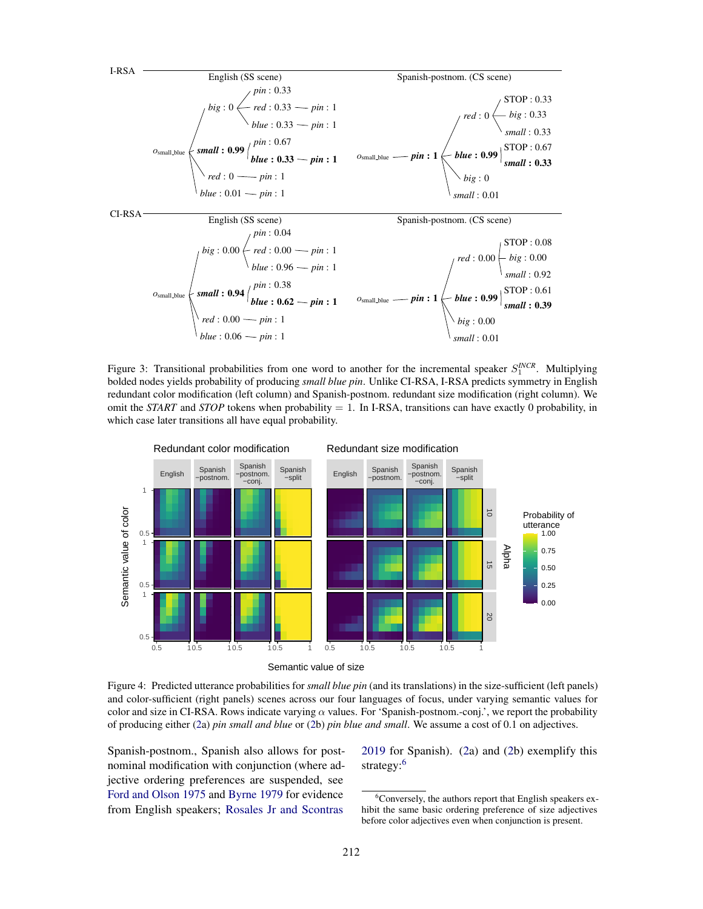

Figure 3: Transitional probabilities from one word to another for the incremental speaker  $S_1^{INCR}$ . Multiplying bolded nodes yields probability of producing *small blue pin*. Unlike CI-RSA, I-RSA predicts symmetry in English redundant color modification (left column) and Spanish-postnom. redundant size modification (right column). We omit the *START* and *STOP* tokens when probability  $= 1$ . In I-RSA, transitions can have exactly 0 probability, in which case later transitions all have equal probability.



Figure 4: Predicted utterance probabilities for *small blue pin* (and its translations) in the size-sufficient (left panels) and color-sufficient (right panels) scenes across our four languages of focus, under varying semantic values for color and size in CI-RSA. Rows indicate varying  $\alpha$  values. For 'Spanish-postnom.-conj.', we report the probability of producing either (2a) *pin small and blue* or (2b) *pin blue and small*. We assume a cost of 0.1 on adjectives.

Spanish-postnom., Spanish also allows for postnominal modification with conjunction (where adjective ordering preferences are suspended, see Ford and Olson 1975 and Byrne 1979 for evidence from English speakers; Rosales Jr and Scontras

2019 for Spanish). (2a) and (2b) exemplify this strategy:<sup>6</sup>

<sup>6</sup>Conversely, the authors report that English speakers exhibit the same basic ordering preference of size adjectives before color adjectives even when conjunction is present.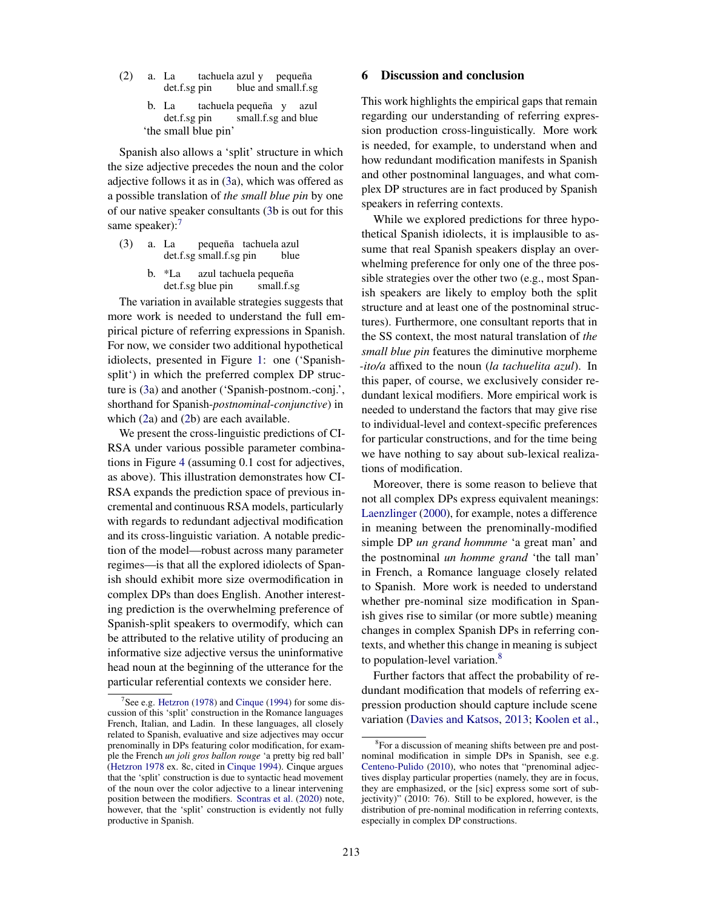- (2) a. La det.f.sg pin tachuela azul y pequeña blue and small.f.sg
	- b. La det.f.sg pin tachuela pequeña y azul small.f.sg and blue 'the small blue pin'

Spanish also allows a 'split' structure in which the size adjective precedes the noun and the color adjective follows it as in (3a), which was offered as a possible translation of *the small blue pin* by one of our native speaker consultants (3b is out for this same speaker):<sup>7</sup>

- (3) a. La det.f.sg small.f.sg pin pequeña tachuela azul blue
	- b. \*La det.f.sg blue pin azul tachuela pequeña small.f.sg

The variation in available strategies suggests that more work is needed to understand the full empirical picture of referring expressions in Spanish. For now, we consider two additional hypothetical idiolects, presented in Figure 1: one ('Spanishsplit') in which the preferred complex DP structure is (3a) and another ('Spanish-postnom.-conj.', shorthand for Spanish-*postnominal*-*conjunctive*) in which (2a) and (2b) are each available.

We present the cross-linguistic predictions of CI-RSA under various possible parameter combinations in Figure 4 (assuming 0.1 cost for adjectives, as above). This illustration demonstrates how CI-RSA expands the prediction space of previous incremental and continuous RSA models, particularly with regards to redundant adjectival modification and its cross-linguistic variation. A notable prediction of the model—robust across many parameter regimes—is that all the explored idiolects of Spanish should exhibit more size overmodification in complex DPs than does English. Another interesting prediction is the overwhelming preference of Spanish-split speakers to overmodify, which can be attributed to the relative utility of producing an informative size adjective versus the uninformative head noun at the beginning of the utterance for the particular referential contexts we consider here.

## 6 Discussion and conclusion

This work highlights the empirical gaps that remain regarding our understanding of referring expression production cross-linguistically. More work is needed, for example, to understand when and how redundant modification manifests in Spanish and other postnominal languages, and what complex DP structures are in fact produced by Spanish speakers in referring contexts.

While we explored predictions for three hypothetical Spanish idiolects, it is implausible to assume that real Spanish speakers display an overwhelming preference for only one of the three possible strategies over the other two (e.g., most Spanish speakers are likely to employ both the split structure and at least one of the postnominal structures). Furthermore, one consultant reports that in the SS context, the most natural translation of *the small blue pin* features the diminutive morpheme *-ito/a* affixed to the noun (*la tachuelita azul*). In this paper, of course, we exclusively consider redundant lexical modifiers. More empirical work is needed to understand the factors that may give rise to individual-level and context-specific preferences for particular constructions, and for the time being we have nothing to say about sub-lexical realizations of modification.

Moreover, there is some reason to believe that not all complex DPs express equivalent meanings: Laenzlinger (2000), for example, notes a difference in meaning between the prenominally-modified simple DP *un grand hommme* 'a great man' and the postnominal *un homme grand* 'the tall man' in French, a Romance language closely related to Spanish. More work is needed to understand whether pre-nominal size modification in Spanish gives rise to similar (or more subtle) meaning changes in complex Spanish DPs in referring contexts, and whether this change in meaning is subject to population-level variation.<sup>8</sup>

Further factors that affect the probability of redundant modification that models of referring expression production should capture include scene variation (Davies and Katsos, 2013; Koolen et al.,

See e.g. Hetzron (1978) and Cinque (1994) for some discussion of this 'split' construction in the Romance languages French, Italian, and Ladin. In these languages, all closely related to Spanish, evaluative and size adjectives may occur prenominally in DPs featuring color modification, for example the French *un joli gros ballon rouge* 'a pretty big red ball' (Hetzron 1978 ex. 8c, cited in Cinque 1994). Cinque argues that the 'split' construction is due to syntactic head movement of the noun over the color adjective to a linear intervening position between the modifiers. Scontras et al. (2020) note, however, that the 'split' construction is evidently not fully productive in Spanish.

<sup>8</sup>For a discussion of meaning shifts between pre and postnominal modification in simple DPs in Spanish, see e.g. Centeno-Pulido (2010), who notes that "prenominal adjectives display particular properties (namely, they are in focus, they are emphasized, or the [sic] express some sort of subjectivity)" (2010: 76). Still to be explored, however, is the distribution of pre-nominal modification in referring contexts, especially in complex DP constructions.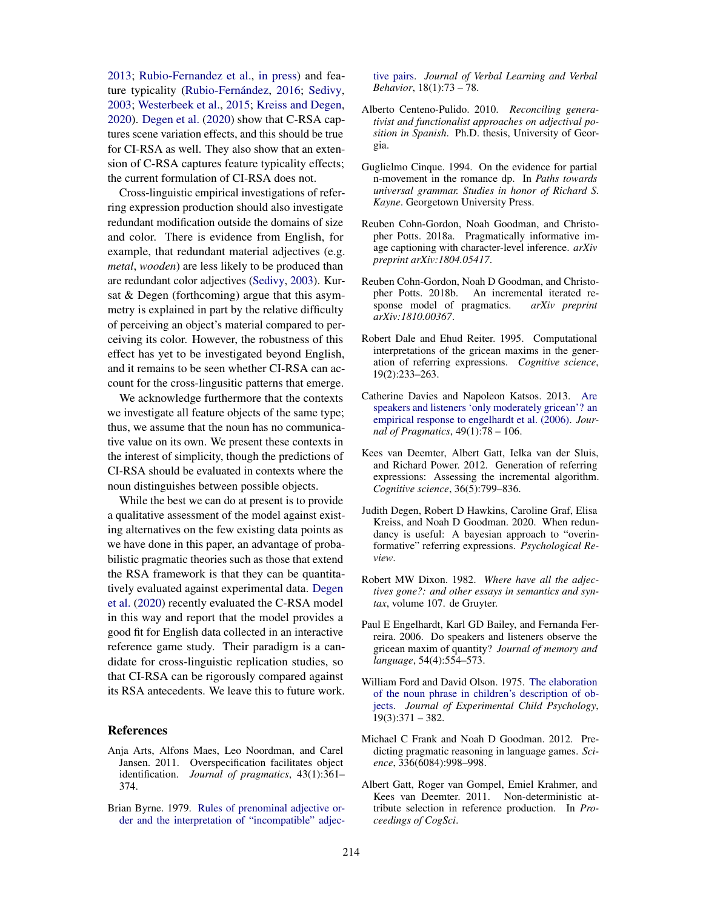2013; Rubio-Fernandez et al., in press) and feature typicality (Rubio-Fernández, 2016; Sedivy, 2003; Westerbeek et al., 2015; Kreiss and Degen, 2020). Degen et al. (2020) show that C-RSA captures scene variation effects, and this should be true for CI-RSA as well. They also show that an extension of C-RSA captures feature typicality effects; the current formulation of CI-RSA does not.

Cross-linguistic empirical investigations of referring expression production should also investigate redundant modification outside the domains of size and color. There is evidence from English, for example, that redundant material adjectives (e.g. *metal*, *wooden*) are less likely to be produced than are redundant color adjectives (Sedivy, 2003). Kursat & Degen (forthcoming) argue that this asymmetry is explained in part by the relative difficulty of perceiving an object's material compared to perceiving its color. However, the robustness of this effect has yet to be investigated beyond English, and it remains to be seen whether CI-RSA can account for the cross-lingusitic patterns that emerge.

We acknowledge furthermore that the contexts we investigate all feature objects of the same type; thus, we assume that the noun has no communicative value on its own. We present these contexts in the interest of simplicity, though the predictions of CI-RSA should be evaluated in contexts where the noun distinguishes between possible objects.

While the best we can do at present is to provide a qualitative assessment of the model against existing alternatives on the few existing data points as we have done in this paper, an advantage of probabilistic pragmatic theories such as those that extend the RSA framework is that they can be quantitatively evaluated against experimental data. Degen et al. (2020) recently evaluated the C-RSA model in this way and report that the model provides a good fit for English data collected in an interactive reference game study. Their paradigm is a candidate for cross-linguistic replication studies, so that CI-RSA can be rigorously compared against its RSA antecedents. We leave this to future work.

#### **References**

- Anja Arts, Alfons Maes, Leo Noordman, and Carel Jansen. 2011. Overspecification facilitates object identification. *Journal of pragmatics*, 43(1):361– 374.
- Brian Byrne. 1979. Rules of prenominal adjective order and the interpretation of "incompatible" adjec-

tive pairs. *Journal of Verbal Learning and Verbal Behavior*, 18(1):73 – 78.

- Alberto Centeno-Pulido. 2010. *Reconciling generativist and functionalist approaches on adjectival position in Spanish*. Ph.D. thesis, University of Georgia.
- Guglielmo Cinque. 1994. On the evidence for partial n-movement in the romance dp. In *Paths towards universal grammar. Studies in honor of Richard S. Kayne*. Georgetown University Press.
- Reuben Cohn-Gordon, Noah Goodman, and Christopher Potts. 2018a. Pragmatically informative image captioning with character-level inference. *arXiv preprint arXiv:1804.05417*.
- Reuben Cohn-Gordon, Noah D Goodman, and Christopher Potts. 2018b. An incremental iterated response model of pragmatics. *arXiv preprint arXiv:1810.00367*.
- Robert Dale and Ehud Reiter. 1995. Computational interpretations of the gricean maxims in the generation of referring expressions. *Cognitive science*, 19(2):233–263.
- Catherine Davies and Napoleon Katsos. 2013. Are speakers and listeners 'only moderately gricean'? an empirical response to engelhardt et al. (2006). *Journal of Pragmatics*, 49(1):78 – 106.
- Kees van Deemter, Albert Gatt, Ielka van der Sluis, and Richard Power. 2012. Generation of referring expressions: Assessing the incremental algorithm. *Cognitive science*, 36(5):799–836.
- Judith Degen, Robert D Hawkins, Caroline Graf, Elisa Kreiss, and Noah D Goodman. 2020. When redundancy is useful: A bayesian approach to "overinformative" referring expressions. *Psychological Review*.
- Robert MW Dixon. 1982. *Where have all the adjectives gone?: and other essays in semantics and syntax*, volume 107. de Gruyter.
- Paul E Engelhardt, Karl GD Bailey, and Fernanda Ferreira. 2006. Do speakers and listeners observe the gricean maxim of quantity? *Journal of memory and language*, 54(4):554–573.
- William Ford and David Olson. 1975. The elaboration of the noun phrase in children's description of objects. *Journal of Experimental Child Psychology*, 19(3):371 – 382.
- Michael C Frank and Noah D Goodman. 2012. Predicting pragmatic reasoning in language games. *Science*, 336(6084):998–998.
- Albert Gatt, Roger van Gompel, Emiel Krahmer, and Kees van Deemter. 2011. Non-deterministic attribute selection in reference production. In *Proceedings of CogSci*.